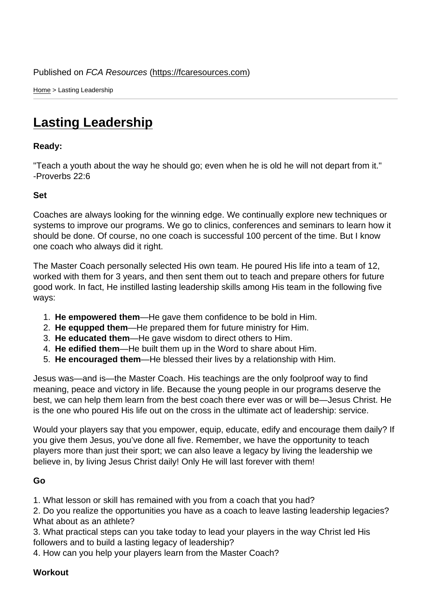Home > Lasting Leadership

## [Las](https://fcaresources.com/)ting Leadership

Ready:

["Teach a youth about the way h](https://fcaresources.com/devotional/lasting-leadership)e should go; even when he is old he will not depart from it." -Proverbs 22:6

Set

Coaches are always looking for the winning edge. We continually explore new techniques or systems to improve our programs. We go to clinics, conferences and seminars to learn how it should be done. Of course, no one coach is successful 100 percent of the time. But I know one coach who always did it right.

The Master Coach personally selected His own team. He poured His life into a team of 12, worked with them for 3 years, and then sent them out to teach and prepare others for future good work. In fact, He instilled lasting leadership skills among His team in the following five ways:

- 1. He empowered them —He gave them confidence to be bold in Him.
- 2. He equpped them —He prepared them for future ministry for Him.
- 3. He educated them —He gave wisdom to direct others to Him.
- 4. He edified them —He built them up in the Word to share about Him.
- 5. He encouraged them —He blessed their lives by a relationship with Him.

Jesus was—and is—the Master Coach. His teachings are the only foolproof way to find meaning, peace and victory in life. Because the young people in our programs deserve the best, we can help them learn from the best coach there ever was or will be—Jesus Christ. He is the one who poured His life out on the cross in the ultimate act of leadership: service.

Would your players say that you empower, equip, educate, edify and encourage them daily? If you give them Jesus, you've done all five. Remember, we have the opportunity to teach players more than just their sport; we can also leave a legacy by living the leadership we believe in, by living Jesus Christ daily! Only He will last forever with them!

Go

1. What lesson or skill has remained with you from a coach that you had?

2. Do you realize the opportunities you have as a coach to leave lasting leadership legacies? What about as an athlete?

3. What practical steps can you take today to lead your players in the way Christ led His followers and to build a lasting legacy of leadership?

4. How can you help your players learn from the Master Coach?

**Workout**